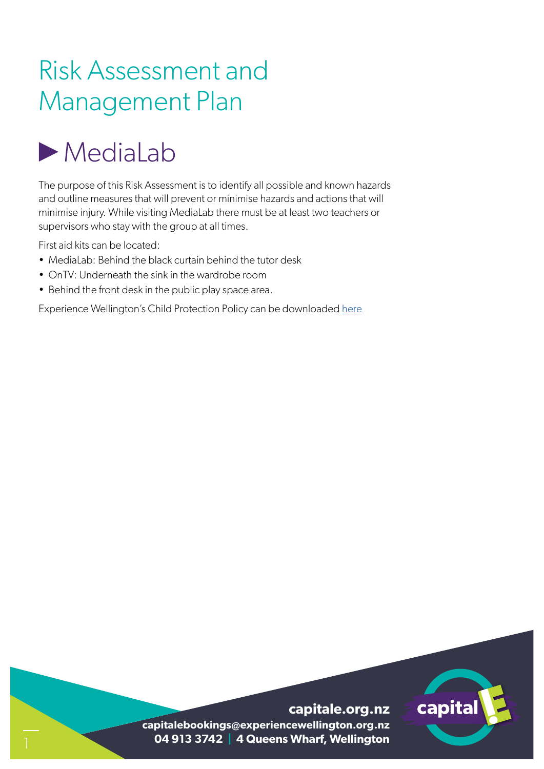### Risk Assessment and Management Plan

## MediaLab

The purpose of this Risk Assessment is to identify all possible and known hazards and outline measures that will prevent or minimise hazards and actions that will minimise injury. While visiting MediaLab there must be at least two teachers or supervisors who stay with the group at all times.

First aid kits can be located:

- MediaLab: Behind the black curtain behind the tutor desk
- OnTV: Underneath the sink in the wardrobe room
- Behind the front desk in the public play space area.

Experience Wellington's Child Protection Policy can be downloaded here

# capital

**capitale.org.nz capitalebookings@experiencewellington.org.nz 04 913 3742 | 4 Queens Wharf, Wellington**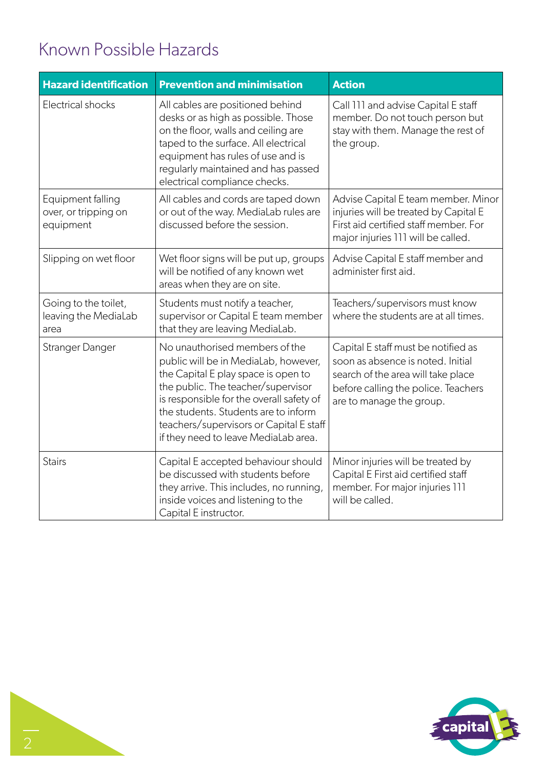#### Known Possible Hazards

| <b>Hazard identification</b>                           | <b>Prevention and minimisation</b>                                                                                                                                                                                                                                                                                         | <b>Action</b>                                                                                                                                                                     |
|--------------------------------------------------------|----------------------------------------------------------------------------------------------------------------------------------------------------------------------------------------------------------------------------------------------------------------------------------------------------------------------------|-----------------------------------------------------------------------------------------------------------------------------------------------------------------------------------|
| <b>Electrical shocks</b>                               | All cables are positioned behind<br>desks or as high as possible. Those<br>on the floor, walls and ceiling are<br>taped to the surface. All electrical<br>equipment has rules of use and is<br>regularly maintained and has passed<br>electrical compliance checks.                                                        | Call 111 and advise Capital E staff<br>member. Do not touch person but<br>stay with them. Manage the rest of<br>the group.                                                        |
| Equipment falling<br>over, or tripping on<br>equipment | All cables and cords are taped down<br>or out of the way. MediaLab rules are<br>discussed before the session.                                                                                                                                                                                                              | Advise Capital E team member. Minor<br>injuries will be treated by Capital E<br>First aid certified staff member. For<br>major injuries 111 will be called.                       |
| Slipping on wet floor                                  | Wet floor signs will be put up, groups<br>will be notified of any known wet<br>areas when they are on site.                                                                                                                                                                                                                | Advise Capital E staff member and<br>administer first aid.                                                                                                                        |
| Going to the toilet,<br>leaving the MediaLab<br>area   | Students must notify a teacher,<br>supervisor or Capital E team member<br>that they are leaving MediaLab.                                                                                                                                                                                                                  | Teachers/supervisors must know<br>where the students are at all times.                                                                                                            |
| Stranger Danger                                        | No unauthorised members of the<br>public will be in MediaLab, however,<br>the Capital E play space is open to<br>the public. The teacher/supervisor<br>is responsible for the overall safety of<br>the students. Students are to inform<br>teachers/supervisors or Capital E staff<br>if they need to leave MediaLab area. | Capital E staff must be notified as<br>soon as absence is noted. Initial<br>search of the area will take place<br>before calling the police. Teachers<br>are to manage the group. |
| <b>Stairs</b>                                          | Capital E accepted behaviour should<br>be discussed with students before<br>they arrive. This includes, no running,<br>inside voices and listening to the<br>Capital E instructor.                                                                                                                                         | Minor injuries will be treated by<br>Capital E First aid certified staff<br>member. For major injuries 111<br>will be called.                                                     |

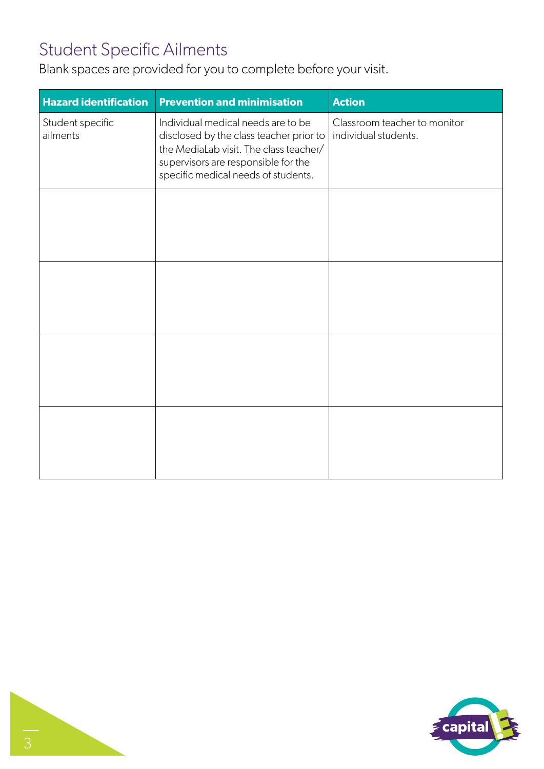#### Student Specific Ailments

Blank spaces are provided for you to complete before your visit.

| <b>Hazard identification</b> | <b>Prevention and minimisation</b>                                                                                                                                                                    | <b>Action</b>                                        |
|------------------------------|-------------------------------------------------------------------------------------------------------------------------------------------------------------------------------------------------------|------------------------------------------------------|
| Student specific<br>ailments | Individual medical needs are to be<br>disclosed by the class teacher prior to<br>the MediaLab visit. The class teacher/<br>supervisors are responsible for the<br>specific medical needs of students. | Classroom teacher to monitor<br>individual students. |
|                              |                                                                                                                                                                                                       |                                                      |
|                              |                                                                                                                                                                                                       |                                                      |
|                              |                                                                                                                                                                                                       |                                                      |
|                              |                                                                                                                                                                                                       |                                                      |